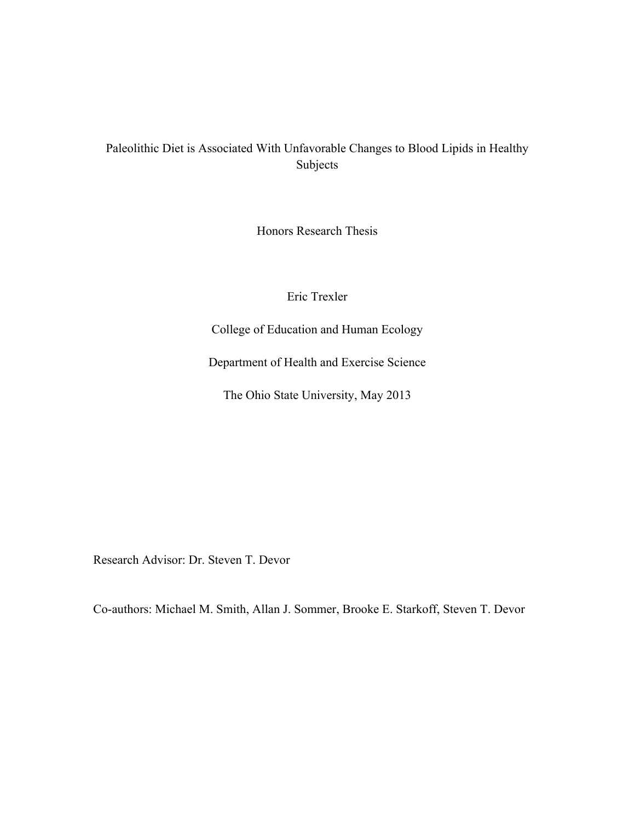# Paleolithic Diet is Associated With Unfavorable Changes to Blood Lipids in Healthy Subjects

Honors Research Thesis

Eric Trexler

College of Education and Human Ecology

Department of Health and Exercise Science

The Ohio State University, May 2013

Research Advisor: Dr. Steven T. Devor

Co-authors: Michael M. Smith, Allan J. Sommer, Brooke E. Starkoff, Steven T. Devor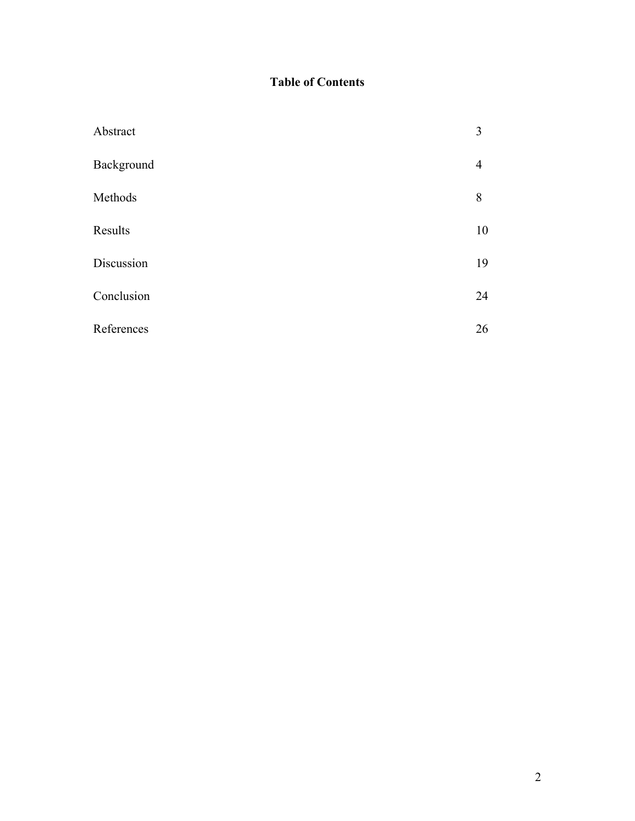# **Table of Contents**

| Abstract   | 3              |
|------------|----------------|
| Background | $\overline{4}$ |
| Methods    | 8              |
| Results    | 10             |
| Discussion | 19             |
| Conclusion | 24             |
| References | 26             |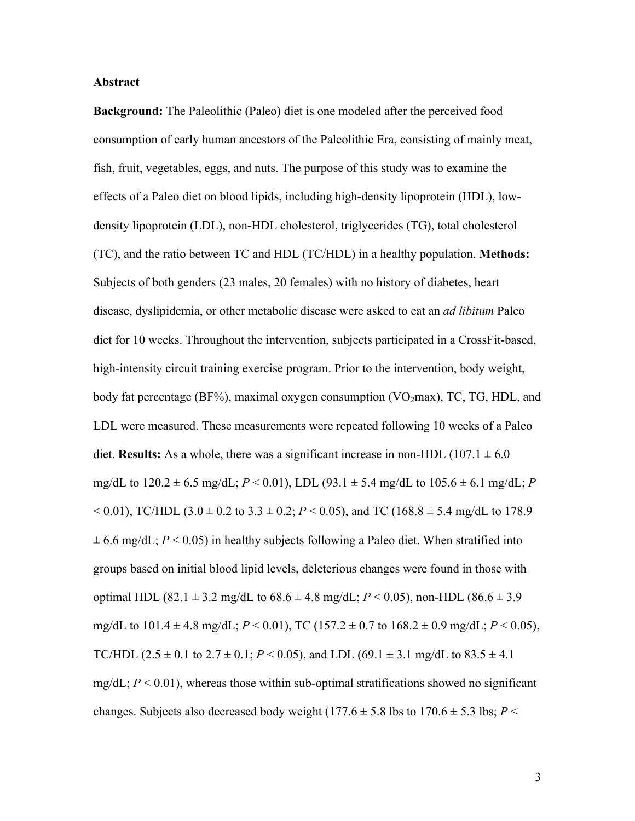# **Abstract**

**Background:** The Paleolithic (Paleo) diet is one modeled after the perceived food consumption of early human ancestors of the Paleolithic Era, consisting of mainly meat, fish, fruit, vegetables, eggs, and nuts. The purpose of this study was to examine the effects of a Paleo diet on blood lipids, including high-density lipoprotein (HDL), lowdensity lipoprotein (LDL), non-HDL cholesterol, triglycerides (TG), total cholesterol (TC), and the ratio between TC and HDL (TC/HDL) in a healthy population. **Methods:** Subjects of both genders (23 males, 20 females) with no history of diabetes, heart disease, dyslipidemia, or other metabolic disease were asked to eat an *ad libitum* Paleo diet for 10 weeks. Throughout the intervention, subjects participated in a CrossFit-based, high-intensity circuit training exercise program. Prior to the intervention, body weight, body fat percentage (BF%), maximal oxygen consumption (VO<sub>2</sub>max), TC, TG, HDL, and LDL were measured. These measurements were repeated following 10 weeks of a Paleo diet. **Results:** As a whole, there was a significant increase in non-HDL (107.1  $\pm$  6.0) mg/dL to 120.2 ± 6.5 mg/dL; *P* < 0.01), LDL (93.1 ± 5.4 mg/dL to 105.6 ± 6.1 mg/dL; *P*  $< 0.01$ ), TC/HDL (3.0  $\pm$  0.2 to 3.3  $\pm$  0.2; *P*  $< 0.05$ ), and TC (168.8  $\pm$  5.4 mg/dL to 178.9  $\pm$  6.6 mg/dL; *P* < 0.05) in healthy subjects following a Paleo diet. When stratified into groups based on initial blood lipid levels, deleterious changes were found in those with optimal HDL (82.1  $\pm$  3.2 mg/dL to 68.6  $\pm$  4.8 mg/dL; *P* < 0.05), non-HDL (86.6  $\pm$  3.9 mg/dL to 101.4 ± 4.8 mg/dL; *P* < 0.01), TC (157.2 ± 0.7 to 168.2 ± 0.9 mg/dL; *P* < 0.05), TC/HDL  $(2.5 \pm 0.1 \text{ to } 2.7 \pm 0.1; P < 0.05)$ , and LDL  $(69.1 \pm 3.1 \text{ mg/dL to } 83.5 \pm 4.1$ mg/dL;  $P < 0.01$ ), whereas those within sub-optimal stratifications showed no significant changes. Subjects also decreased body weight ( $177.6 \pm 5.8$  lbs to  $170.6 \pm 5.3$  lbs; *P* <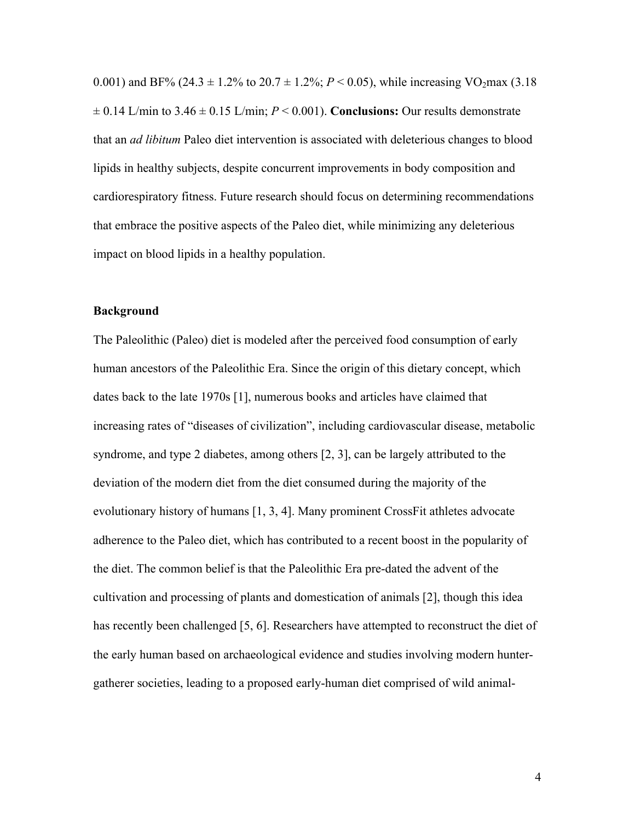0.001) and BF% (24.3  $\pm$  1.2% to 20.7  $\pm$  1.2%; *P* < 0.05), while increasing VO<sub>2</sub>max (3.18)  $\pm$  0.14 L/min to 3.46  $\pm$  0.15 L/min; *P* < 0.001). **Conclusions:** Our results demonstrate that an *ad libitum* Paleo diet intervention is associated with deleterious changes to blood lipids in healthy subjects, despite concurrent improvements in body composition and cardiorespiratory fitness. Future research should focus on determining recommendations that embrace the positive aspects of the Paleo diet, while minimizing any deleterious impact on blood lipids in a healthy population.

# **Background**

The Paleolithic (Paleo) diet is modeled after the perceived food consumption of early human ancestors of the Paleolithic Era. Since the origin of this dietary concept, which dates back to the late 1970s [1], numerous books and articles have claimed that increasing rates of "diseases of civilization", including cardiovascular disease, metabolic syndrome, and type 2 diabetes, among others [2, 3], can be largely attributed to the deviation of the modern diet from the diet consumed during the majority of the evolutionary history of humans [1, 3, 4]. Many prominent CrossFit athletes advocate adherence to the Paleo diet, which has contributed to a recent boost in the popularity of the diet. The common belief is that the Paleolithic Era pre-dated the advent of the cultivation and processing of plants and domestication of animals [2], though this idea has recently been challenged [5, 6]. Researchers have attempted to reconstruct the diet of the early human based on archaeological evidence and studies involving modern huntergatherer societies, leading to a proposed early-human diet comprised of wild animal-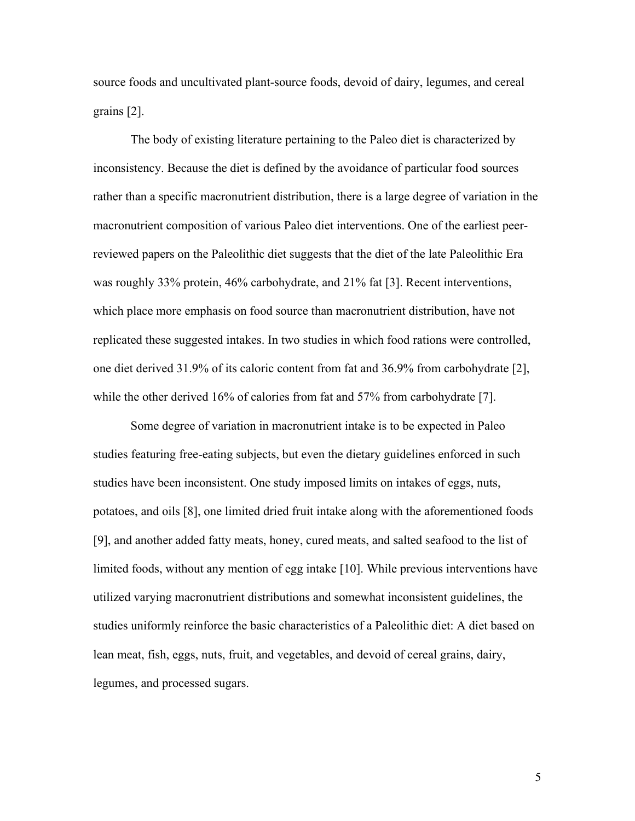source foods and uncultivated plant-source foods, devoid of dairy, legumes, and cereal grains [2].

The body of existing literature pertaining to the Paleo diet is characterized by inconsistency. Because the diet is defined by the avoidance of particular food sources rather than a specific macronutrient distribution, there is a large degree of variation in the macronutrient composition of various Paleo diet interventions. One of the earliest peerreviewed papers on the Paleolithic diet suggests that the diet of the late Paleolithic Era was roughly 33% protein, 46% carbohydrate, and 21% fat [3]. Recent interventions, which place more emphasis on food source than macronutrient distribution, have not replicated these suggested intakes. In two studies in which food rations were controlled, one diet derived 31.9% of its caloric content from fat and 36.9% from carbohydrate [2], while the other derived 16% of calories from fat and 57% from carbohydrate [7].

Some degree of variation in macronutrient intake is to be expected in Paleo studies featuring free-eating subjects, but even the dietary guidelines enforced in such studies have been inconsistent. One study imposed limits on intakes of eggs, nuts, potatoes, and oils [8], one limited dried fruit intake along with the aforementioned foods [9], and another added fatty meats, honey, cured meats, and salted seafood to the list of limited foods, without any mention of egg intake [10]. While previous interventions have utilized varying macronutrient distributions and somewhat inconsistent guidelines, the studies uniformly reinforce the basic characteristics of a Paleolithic diet: A diet based on lean meat, fish, eggs, nuts, fruit, and vegetables, and devoid of cereal grains, dairy, legumes, and processed sugars.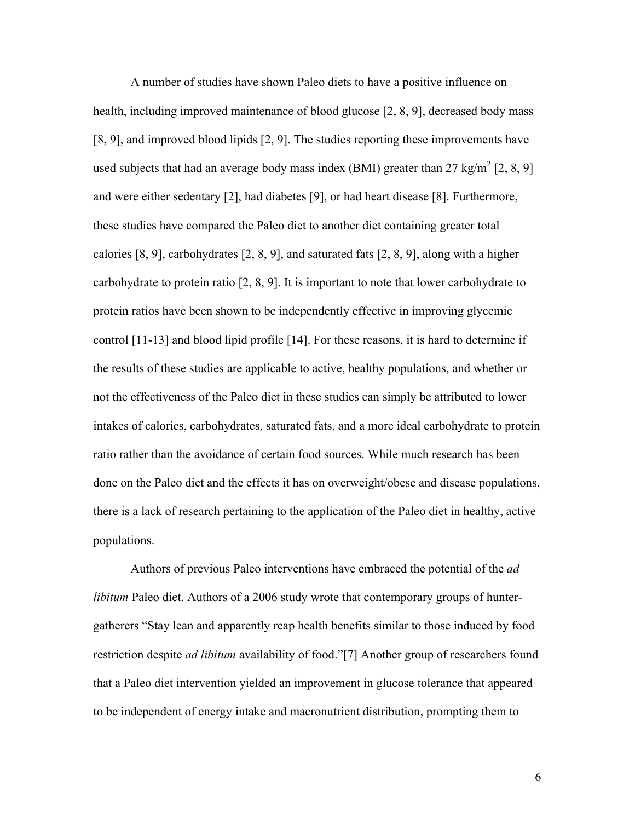A number of studies have shown Paleo diets to have a positive influence on health, including improved maintenance of blood glucose [2, 8, 9], decreased body mass [8, 9], and improved blood lipids [2, 9]. The studies reporting these improvements have used subjects that had an average body mass index (BMI) greater than 27 kg/m<sup>2</sup> [2, 8, 9] and were either sedentary [2], had diabetes [9], or had heart disease [8]. Furthermore, these studies have compared the Paleo diet to another diet containing greater total calories [8, 9], carbohydrates [2, 8, 9], and saturated fats [2, 8, 9], along with a higher carbohydrate to protein ratio [2, 8, 9]. It is important to note that lower carbohydrate to protein ratios have been shown to be independently effective in improving glycemic control [11-13] and blood lipid profile [14]. For these reasons, it is hard to determine if the results of these studies are applicable to active, healthy populations, and whether or not the effectiveness of the Paleo diet in these studies can simply be attributed to lower intakes of calories, carbohydrates, saturated fats, and a more ideal carbohydrate to protein ratio rather than the avoidance of certain food sources. While much research has been done on the Paleo diet and the effects it has on overweight/obese and disease populations, there is a lack of research pertaining to the application of the Paleo diet in healthy, active populations.

Authors of previous Paleo interventions have embraced the potential of the *ad libitum* Paleo diet. Authors of a 2006 study wrote that contemporary groups of huntergatherers "Stay lean and apparently reap health benefits similar to those induced by food restriction despite *ad libitum* availability of food."[7] Another group of researchers found that a Paleo diet intervention yielded an improvement in glucose tolerance that appeared to be independent of energy intake and macronutrient distribution, prompting them to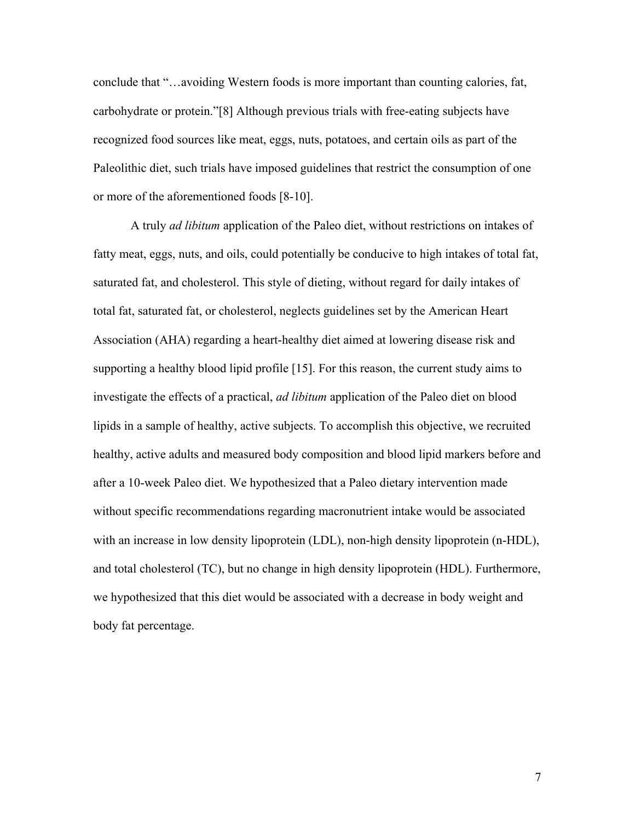conclude that "…avoiding Western foods is more important than counting calories, fat, carbohydrate or protein."[8] Although previous trials with free-eating subjects have recognized food sources like meat, eggs, nuts, potatoes, and certain oils as part of the Paleolithic diet, such trials have imposed guidelines that restrict the consumption of one or more of the aforementioned foods [8-10].

A truly *ad libitum* application of the Paleo diet, without restrictions on intakes of fatty meat, eggs, nuts, and oils, could potentially be conducive to high intakes of total fat, saturated fat, and cholesterol. This style of dieting, without regard for daily intakes of total fat, saturated fat, or cholesterol, neglects guidelines set by the American Heart Association (AHA) regarding a heart-healthy diet aimed at lowering disease risk and supporting a healthy blood lipid profile [15]. For this reason, the current study aims to investigate the effects of a practical, *ad libitum* application of the Paleo diet on blood lipids in a sample of healthy, active subjects. To accomplish this objective, we recruited healthy, active adults and measured body composition and blood lipid markers before and after a 10-week Paleo diet. We hypothesized that a Paleo dietary intervention made without specific recommendations regarding macronutrient intake would be associated with an increase in low density lipoprotein (LDL), non-high density lipoprotein (n-HDL), and total cholesterol (TC), but no change in high density lipoprotein (HDL). Furthermore, we hypothesized that this diet would be associated with a decrease in body weight and body fat percentage.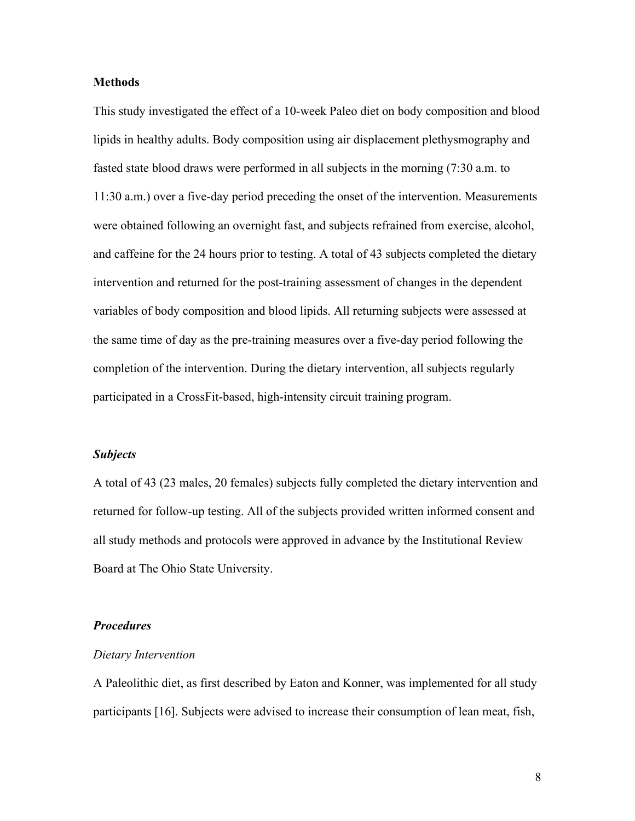## **Methods**

This study investigated the effect of a 10-week Paleo diet on body composition and blood lipids in healthy adults. Body composition using air displacement plethysmography and fasted state blood draws were performed in all subjects in the morning (7:30 a.m. to 11:30 a.m.) over a five-day period preceding the onset of the intervention. Measurements were obtained following an overnight fast, and subjects refrained from exercise, alcohol, and caffeine for the 24 hours prior to testing. A total of 43 subjects completed the dietary intervention and returned for the post-training assessment of changes in the dependent variables of body composition and blood lipids. All returning subjects were assessed at the same time of day as the pre-training measures over a five-day period following the completion of the intervention. During the dietary intervention, all subjects regularly participated in a CrossFit-based, high-intensity circuit training program.

#### *Subjects*

A total of 43 (23 males, 20 females) subjects fully completed the dietary intervention and returned for follow-up testing. All of the subjects provided written informed consent and all study methods and protocols were approved in advance by the Institutional Review Board at The Ohio State University.

#### *Procedures*

#### *Dietary Intervention*

A Paleolithic diet, as first described by Eaton and Konner, was implemented for all study participants [16]. Subjects were advised to increase their consumption of lean meat, fish,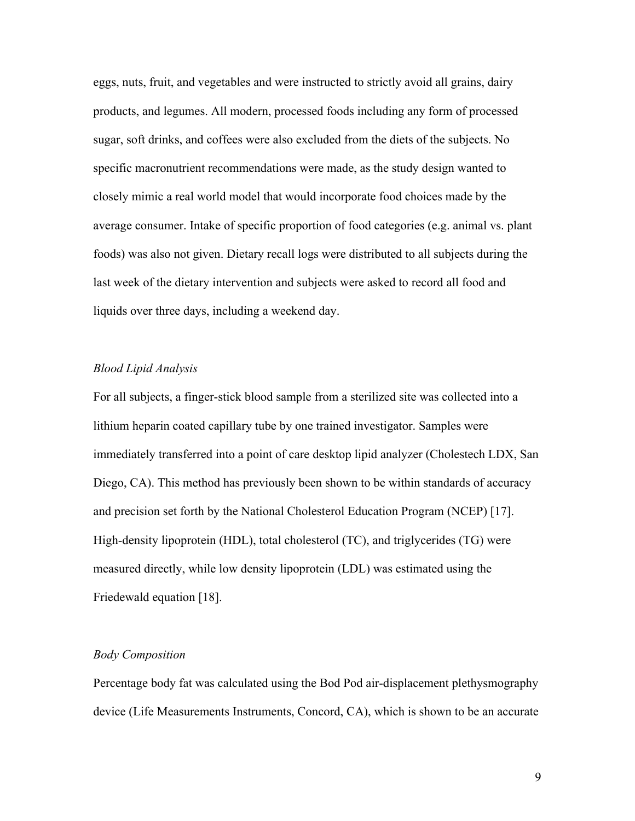eggs, nuts, fruit, and vegetables and were instructed to strictly avoid all grains, dairy products, and legumes. All modern, processed foods including any form of processed sugar, soft drinks, and coffees were also excluded from the diets of the subjects. No specific macronutrient recommendations were made, as the study design wanted to closely mimic a real world model that would incorporate food choices made by the average consumer. Intake of specific proportion of food categories (e.g. animal vs. plant foods) was also not given. Dietary recall logs were distributed to all subjects during the last week of the dietary intervention and subjects were asked to record all food and liquids over three days, including a weekend day.

# *Blood Lipid Analysis*

For all subjects, a finger-stick blood sample from a sterilized site was collected into a lithium heparin coated capillary tube by one trained investigator. Samples were immediately transferred into a point of care desktop lipid analyzer (Cholestech LDX, San Diego, CA). This method has previously been shown to be within standards of accuracy and precision set forth by the National Cholesterol Education Program (NCEP) [17]. High-density lipoprotein (HDL), total cholesterol (TC), and triglycerides (TG) were measured directly, while low density lipoprotein (LDL) was estimated using the Friedewald equation [18].

#### *Body Composition*

Percentage body fat was calculated using the Bod Pod air-displacement plethysmography device (Life Measurements Instruments, Concord, CA), which is shown to be an accurate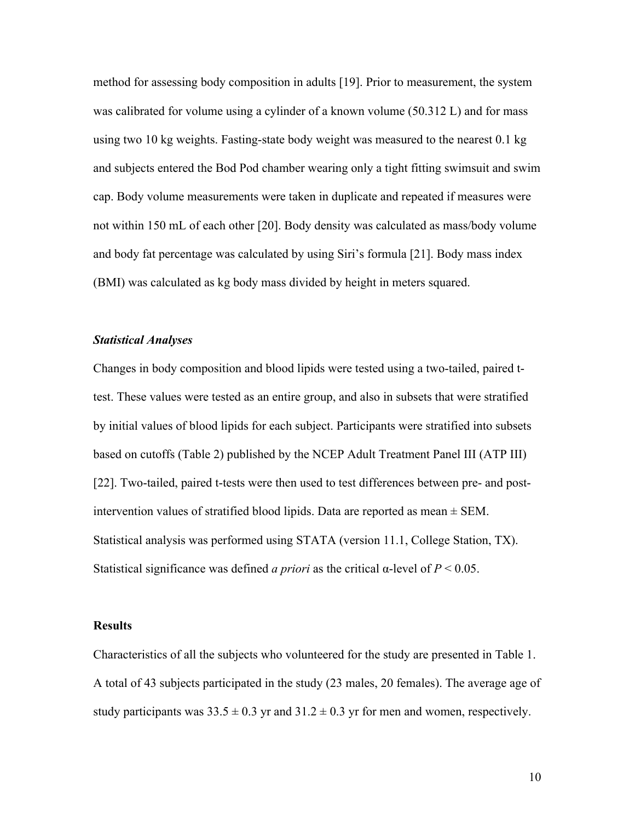method for assessing body composition in adults [19]. Prior to measurement, the system was calibrated for volume using a cylinder of a known volume (50.312 L) and for mass using two 10 kg weights. Fasting-state body weight was measured to the nearest 0.1 kg and subjects entered the Bod Pod chamber wearing only a tight fitting swimsuit and swim cap. Body volume measurements were taken in duplicate and repeated if measures were not within 150 mL of each other [20]. Body density was calculated as mass/body volume and body fat percentage was calculated by using Siri's formula [21]. Body mass index (BMI) was calculated as kg body mass divided by height in meters squared.

# *Statistical Analyses*

Changes in body composition and blood lipids were tested using a two-tailed, paired ttest. These values were tested as an entire group, and also in subsets that were stratified by initial values of blood lipids for each subject. Participants were stratified into subsets based on cutoffs (Table 2) published by the NCEP Adult Treatment Panel III (ATP III) [22]. Two-tailed, paired t-tests were then used to test differences between pre- and postintervention values of stratified blood lipids. Data are reported as mean  $\pm$  SEM. Statistical analysis was performed using STATA (version 11.1, College Station, TX). Statistical significance was defined *a priori* as the critical  $\alpha$ -level of  $P < 0.05$ .

# **Results**

Characteristics of all the subjects who volunteered for the study are presented in Table 1. A total of 43 subjects participated in the study (23 males, 20 females). The average age of study participants was  $33.5 \pm 0.3$  yr and  $31.2 \pm 0.3$  yr for men and women, respectively.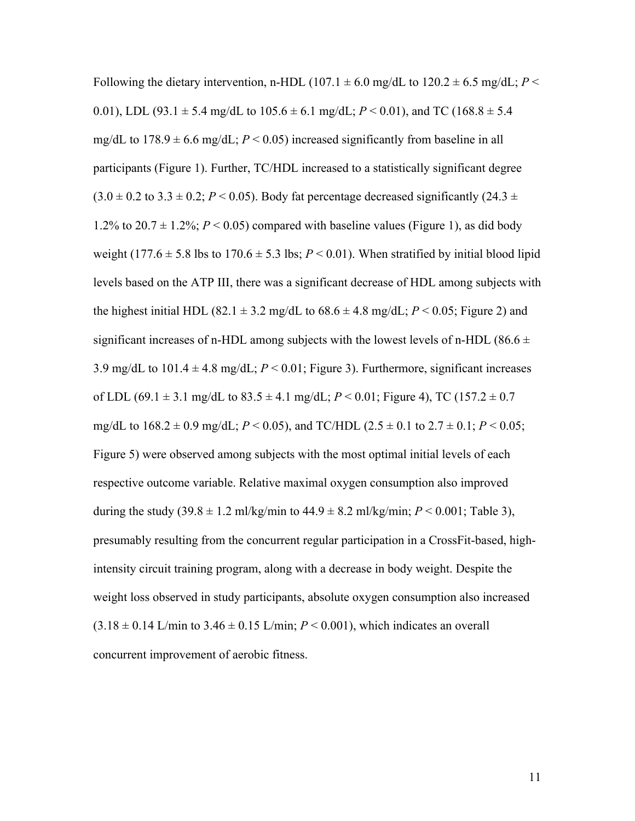Following the dietary intervention, n-HDL (107.1  $\pm$  6.0 mg/dL to 120.2  $\pm$  6.5 mg/dL; *P* < 0.01), LDL (93.1  $\pm$  5.4 mg/dL to 105.6  $\pm$  6.1 mg/dL; *P* < 0.01), and TC (168.8  $\pm$  5.4 mg/dL to  $178.9 \pm 6.6$  mg/dL;  $P < 0.05$ ) increased significantly from baseline in all participants (Figure 1). Further, TC/HDL increased to a statistically significant degree  $(3.0 \pm 0.2$  to  $3.3 \pm 0.2$ ;  $P < 0.05$ ). Body fat percentage decreased significantly  $(24.3 \pm 0.2)$ 1.2% to 20.7  $\pm$  1.2%; *P* < 0.05) compared with baseline values (Figure 1), as did body weight (177.6  $\pm$  5.8 lbs to 170.6  $\pm$  5.3 lbs; *P* < 0.01). When stratified by initial blood lipid levels based on the ATP III, there was a significant decrease of HDL among subjects with the highest initial HDL (82.1  $\pm$  3.2 mg/dL to 68.6  $\pm$  4.8 mg/dL; *P* < 0.05; Figure 2) and significant increases of n-HDL among subjects with the lowest levels of n-HDL (86.6  $\pm$ 3.9 mg/dL to  $101.4 \pm 4.8$  mg/dL;  $P < 0.01$ ; Figure 3). Furthermore, significant increases of LDL (69.1  $\pm$  3.1 mg/dL to 83.5  $\pm$  4.1 mg/dL; *P* < 0.01; Figure 4), TC (157.2  $\pm$  0.7 mg/dL to 168.2 ± 0.9 mg/dL; *P* < 0.05), and TC/HDL (2.5 ± 0.1 to 2.7 ± 0.1; *P* < 0.05; Figure 5) were observed among subjects with the most optimal initial levels of each respective outcome variable. Relative maximal oxygen consumption also improved during the study  $(39.8 \pm 1.2 \text{ ml/kg/min}$  to  $44.9 \pm 8.2 \text{ ml/kg/min}$ ;  $P < 0.001$ ; Table 3), presumably resulting from the concurrent regular participation in a CrossFit-based, highintensity circuit training program, along with a decrease in body weight. Despite the weight loss observed in study participants, absolute oxygen consumption also increased  $(3.18 \pm 0.14 \text{ L/min to } 3.46 \pm 0.15 \text{ L/min}; P < 0.001)$ , which indicates an overall concurrent improvement of aerobic fitness.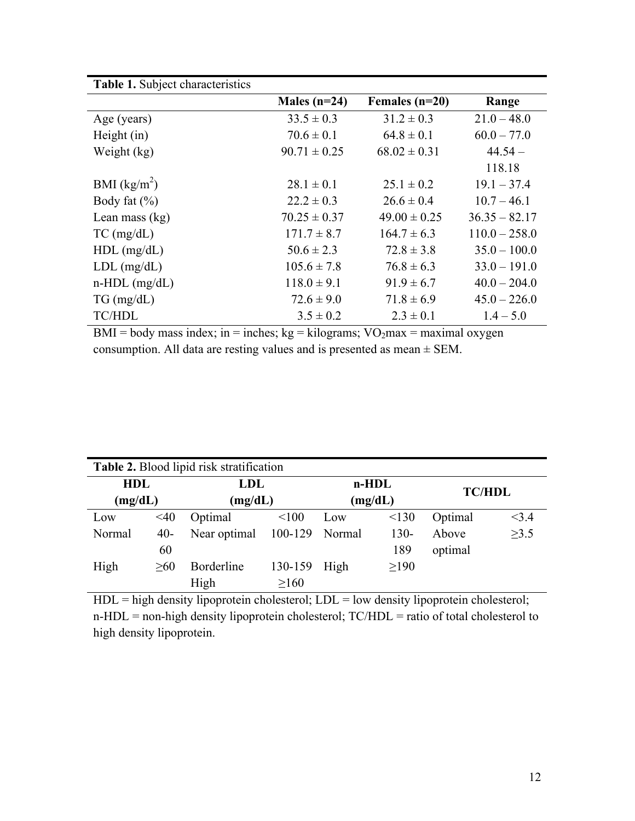| Table 1. Subject characteristics |                  |                  |                 |
|----------------------------------|------------------|------------------|-----------------|
|                                  | Males $(n=24)$   | Females $(n=20)$ | Range           |
| Age (years)                      | $33.5 \pm 0.3$   | $31.2 \pm 0.3$   | $21.0 - 48.0$   |
| Height $(in)$                    | $70.6 \pm 0.1$   | $64.8 \pm 0.1$   | $60.0 - 77.0$   |
| Weight (kg)                      | $90.71 \pm 0.25$ | $68.02 \pm 0.31$ | $44.54 -$       |
|                                  |                  |                  | 118.18          |
| BMI $(kg/m^2)$                   | $28.1 \pm 0.1$   | $25.1 \pm 0.2$   | $19.1 - 37.4$   |
| Body fat $(\% )$                 | $22.2 \pm 0.3$   | $26.6 \pm 0.4$   | $10.7 - 46.1$   |
| Lean mass $(kg)$                 | $70.25 \pm 0.37$ | $49.00 \pm 0.25$ | $36.35 - 82.17$ |
| $TC$ (mg/dL)                     | $171.7 \pm 8.7$  | $164.7 \pm 6.3$  | $110.0 - 258.0$ |
| $HDL$ (mg/dL)                    | $50.6 \pm 2.3$   | $72.8 \pm 3.8$   | $35.0 - 100.0$  |
| $LDL$ (mg/dL)                    | $105.6 \pm 7.8$  | $76.8 \pm 6.3$   | $33.0 - 191.0$  |
| $n$ -HDL $(mg/dL)$               | $118.0 \pm 9.1$  | $91.9 \pm 6.7$   | $40.0 - 204.0$  |
| $TG \, (mg/dL)$                  | $72.6 \pm 9.0$   | $71.8 \pm 6.9$   | $45.0 - 226.0$  |
| <b>TC/HDL</b>                    | $3.5 \pm 0.2$    | $2.3 \pm 0.1$    | $1.4 - 5.0$     |

 $BMI = body$  mass index; in = inches;  $kg = kilograms$ ;  $VO<sub>2</sub>$  maximal oxygen consumption. All data are resting values and is presented as mean ± SEM.

| Table 2. Blood lipid risk stratification |        |              |            |         |         |               |            |  |
|------------------------------------------|--------|--------------|------------|---------|---------|---------------|------------|--|
| <b>HDL</b>                               |        | LDL          |            | $n-HDL$ |         | <b>TC/HDL</b> |            |  |
| (mg/dL)                                  |        | (mg/dL)      |            | (mg/dL) |         |               |            |  |
| Low                                      | $<$ 40 | Optimal      | < 100      | Low     | < 130   | Optimal       | <3.4       |  |
| Normal                                   | $40-$  | Near optimal | 100-129    | Normal  | $130 -$ | Above         | $\geq 3.5$ |  |
|                                          | 60     |              |            |         | 189     | optimal       |            |  |
| High                                     | >60    | Borderline   | 130-159    | High    | >190    |               |            |  |
|                                          |        | High         | $\geq 160$ |         |         |               |            |  |

HDL = high density lipoprotein cholesterol; LDL = low density lipoprotein cholesterol; n-HDL = non-high density lipoprotein cholesterol; TC/HDL = ratio of total cholesterol to high density lipoprotein.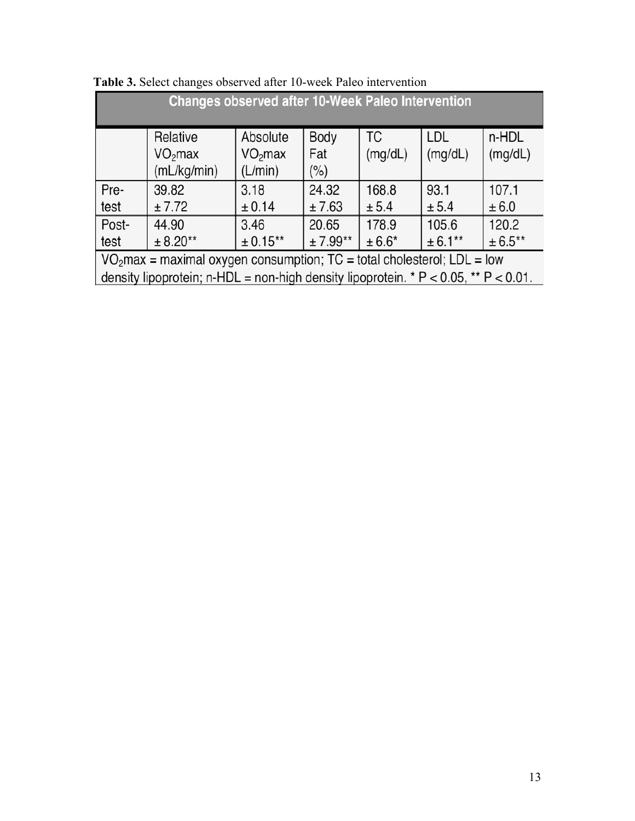| <b>Changes observed after 10-Week Paleo Intervention</b>                                                                                                               |                                                |                                            |                        |                      |                       |                  |
|------------------------------------------------------------------------------------------------------------------------------------------------------------------------|------------------------------------------------|--------------------------------------------|------------------------|----------------------|-----------------------|------------------|
|                                                                                                                                                                        | Relative<br>VO <sub>2</sub> max<br>(mL/kg/min) | Absolute<br>VO <sub>2</sub> max<br>(L/min) | Body<br>Fat<br>$(\% )$ | <b>TC</b><br>(mg/dL) | <b>LDL</b><br>(mg/dL) | n-HDL<br>(mg/dL) |
| Pre-<br>test                                                                                                                                                           | 39.82<br>± 7.72                                | 3.18<br>± 0.14                             | 24.32<br>± 7.63        | 168.8<br>± 5.4       | 93.1<br>± 5.4         | 107.1<br>± 6.0   |
| Post-                                                                                                                                                                  | 44.90                                          | 3.46                                       | 20.65                  | 178.9                | 105.6                 | 120.2            |
| $± 8.20**$<br>$± 0.15***$<br>$±7.99**$<br>$± 6.5***$<br>$± 6.1***$<br>$± 6.6*$<br>test                                                                                 |                                                |                                            |                        |                      |                       |                  |
| $VO2max = maximal oxygen consumption$ ; TC = total cholesterol; LDL = low<br>density lipoprotein; n-HDL = non-high density lipoprotein. * $P < 0.05$ , ** $P < 0.01$ . |                                                |                                            |                        |                      |                       |                  |
|                                                                                                                                                                        |                                                |                                            |                        |                      |                       |                  |

**Table 3.** Select changes observed after 10-week Paleo intervention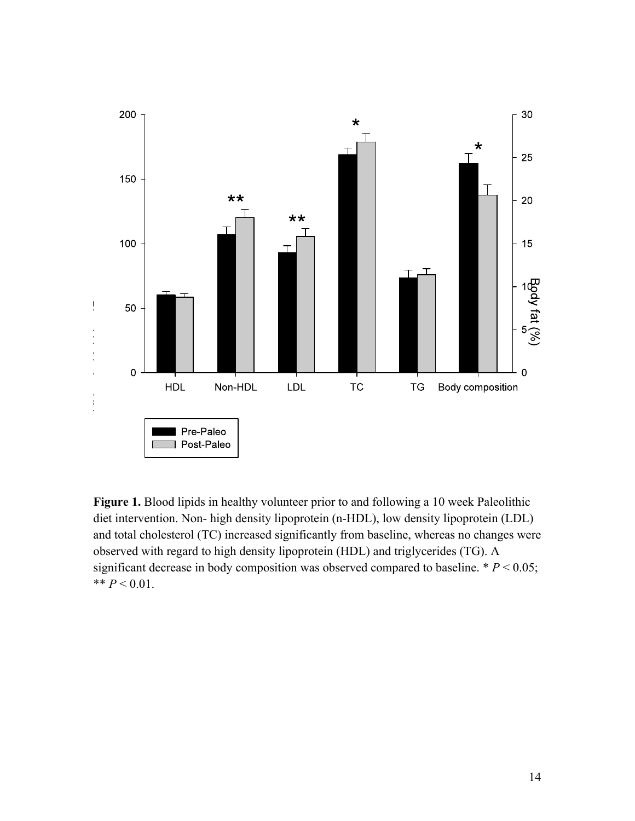

**Figure 1.** Blood lipids in healthy volunteer prior to and following a 10 week Paleolithic diet intervention. Non- high density lipoprotein (n-HDL), low density lipoprotein (LDL) and total cholesterol (TC) increased significantly from baseline, whereas no changes were observed with regard to high density lipoprotein (HDL) and triglycerides (TG). A significant decrease in body composition was observed compared to baseline.  $* P < 0.05$ ; \*\*  $P < 0.01$ .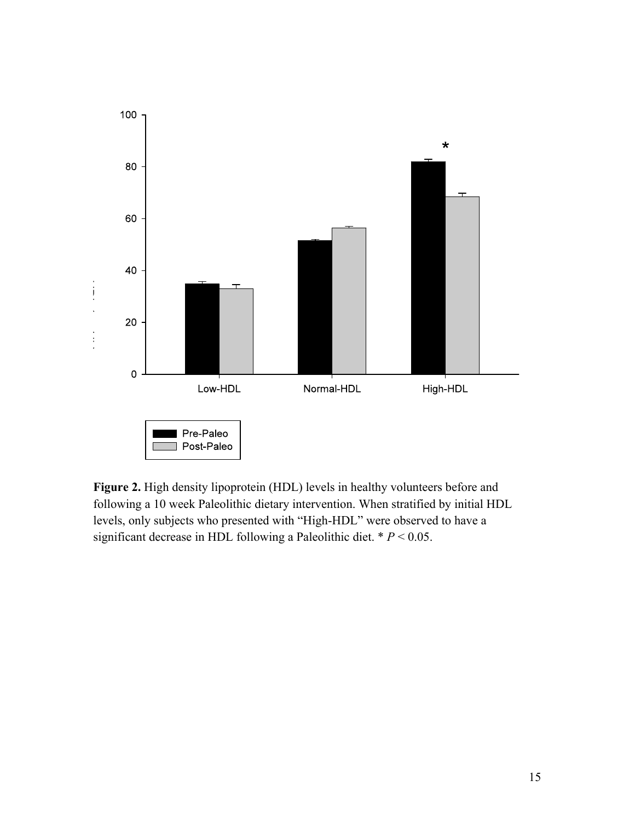

**Figure 2.** High density lipoprotein (HDL) levels in healthy volunteers before and following a 10 week Paleolithic dietary intervention. When stratified by initial HDL levels, only subjects who presented with "High-HDL" were observed to have a significant decrease in HDL following a Paleolithic diet. \* *P* < 0.05.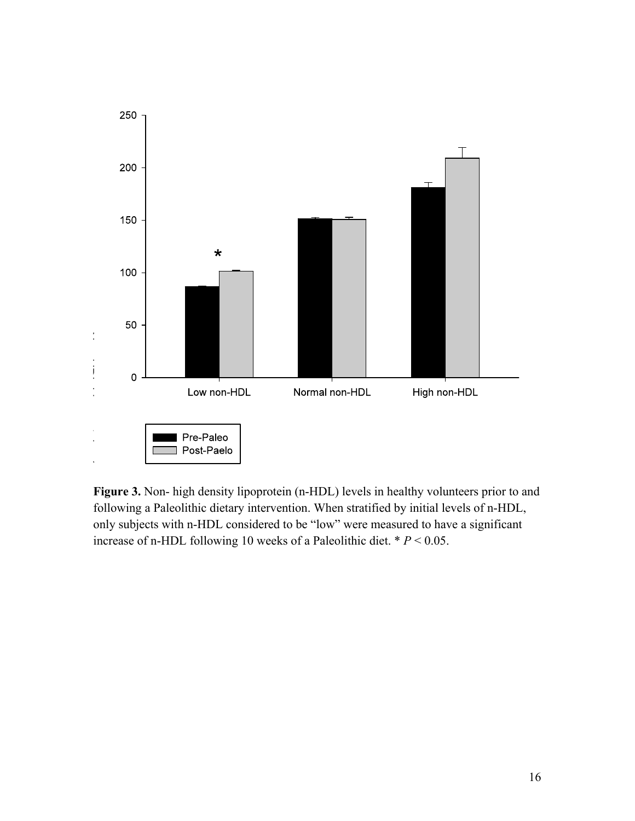

Figure 3. Non- high density lipoprotein (n-HDL) levels in healthy volunteers prior to and following a Paleolithic dietary intervention. When stratified by initial levels of n-HDL, only subjects with n-HDL considered to be "low" were measured to have a significant increase of n-HDL following 10 weeks of a Paleolithic diet. \* *P* < 0.05.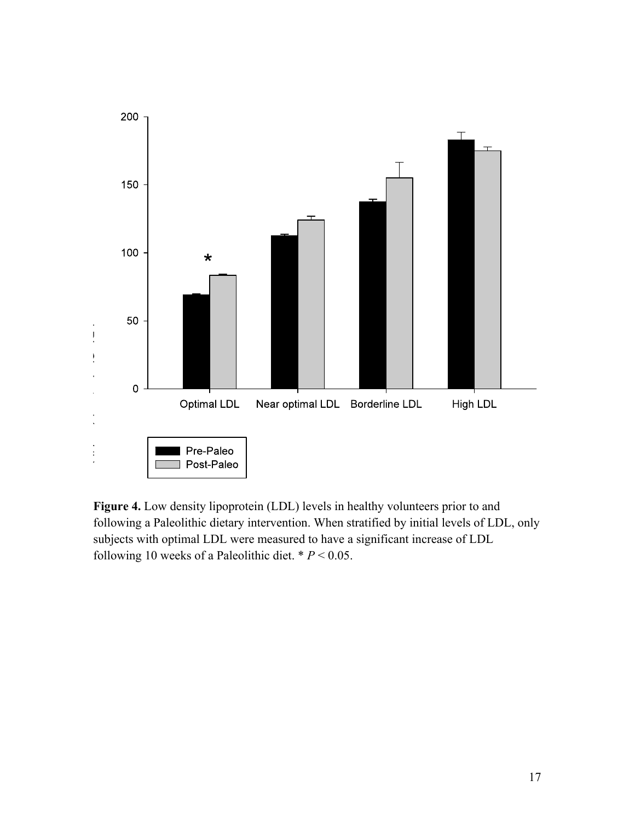

**Figure 4.** Low density lipoprotein (LDL) levels in healthy volunteers prior to and following a Paleolithic dietary intervention. When stratified by initial levels of LDL, only subjects with optimal LDL were measured to have a significant increase of LDL following 10 weeks of a Paleolithic diet. \* *P* < 0.05.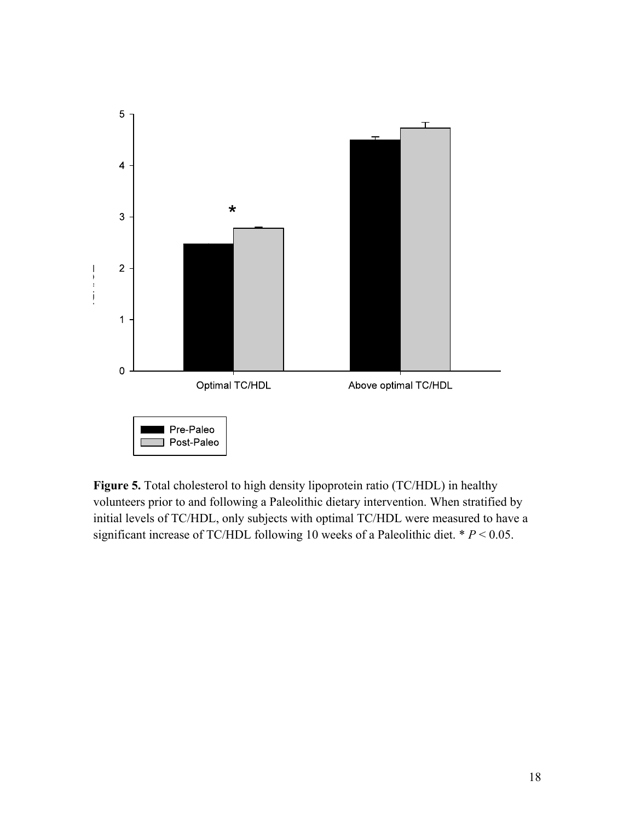

**Figure 5.** Total cholesterol to high density lipoprotein ratio (TC/HDL) in healthy volunteers prior to and following a Paleolithic dietary intervention. When stratified by initial levels of TC/HDL, only subjects with optimal TC/HDL were measured to have a significant increase of TC/HDL following 10 weeks of a Paleolithic diet. \* *P* < 0.05.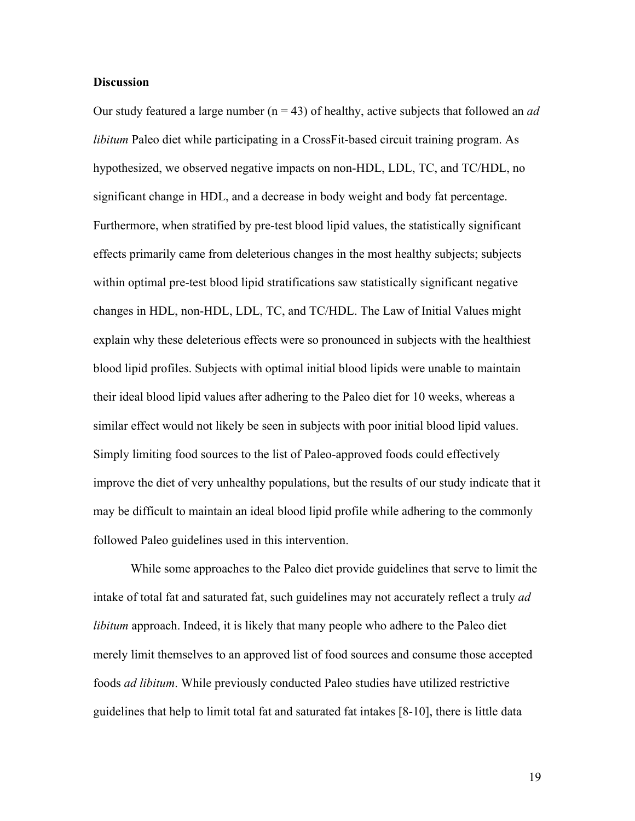### **Discussion**

Our study featured a large number (n = 43) of healthy, active subjects that followed an *ad libitum* Paleo diet while participating in a CrossFit-based circuit training program. As hypothesized, we observed negative impacts on non-HDL, LDL, TC, and TC/HDL, no significant change in HDL, and a decrease in body weight and body fat percentage. Furthermore, when stratified by pre-test blood lipid values, the statistically significant effects primarily came from deleterious changes in the most healthy subjects; subjects within optimal pre-test blood lipid stratifications saw statistically significant negative changes in HDL, non-HDL, LDL, TC, and TC/HDL. The Law of Initial Values might explain why these deleterious effects were so pronounced in subjects with the healthiest blood lipid profiles. Subjects with optimal initial blood lipids were unable to maintain their ideal blood lipid values after adhering to the Paleo diet for 10 weeks, whereas a similar effect would not likely be seen in subjects with poor initial blood lipid values. Simply limiting food sources to the list of Paleo-approved foods could effectively improve the diet of very unhealthy populations, but the results of our study indicate that it may be difficult to maintain an ideal blood lipid profile while adhering to the commonly followed Paleo guidelines used in this intervention.

While some approaches to the Paleo diet provide guidelines that serve to limit the intake of total fat and saturated fat, such guidelines may not accurately reflect a truly *ad libitum* approach. Indeed, it is likely that many people who adhere to the Paleo diet merely limit themselves to an approved list of food sources and consume those accepted foods *ad libitum*. While previously conducted Paleo studies have utilized restrictive guidelines that help to limit total fat and saturated fat intakes [8-10], there is little data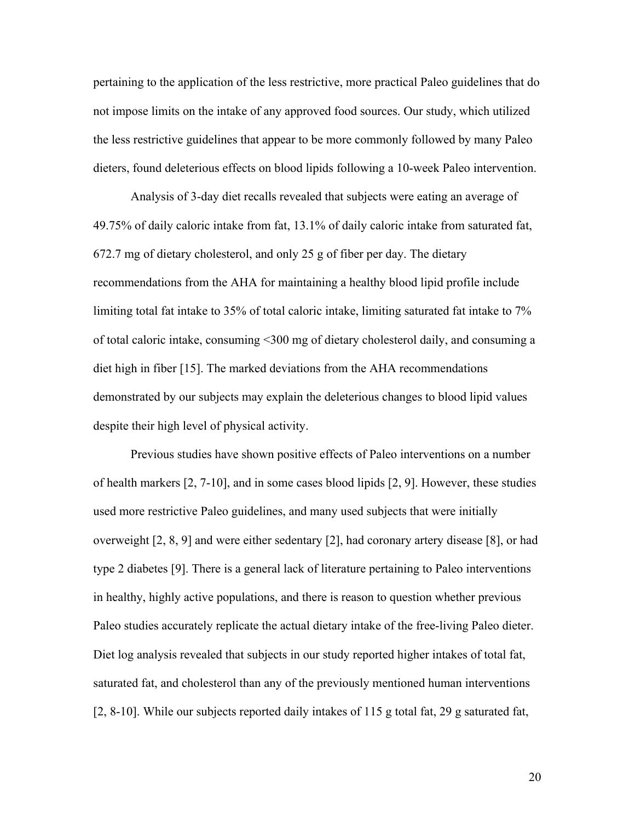pertaining to the application of the less restrictive, more practical Paleo guidelines that do not impose limits on the intake of any approved food sources. Our study, which utilized the less restrictive guidelines that appear to be more commonly followed by many Paleo dieters, found deleterious effects on blood lipids following a 10-week Paleo intervention.

Analysis of 3-day diet recalls revealed that subjects were eating an average of 49.75% of daily caloric intake from fat, 13.1% of daily caloric intake from saturated fat, 672.7 mg of dietary cholesterol, and only 25 g of fiber per day. The dietary recommendations from the AHA for maintaining a healthy blood lipid profile include limiting total fat intake to 35% of total caloric intake, limiting saturated fat intake to 7% of total caloric intake, consuming <300 mg of dietary cholesterol daily, and consuming a diet high in fiber [15]. The marked deviations from the AHA recommendations demonstrated by our subjects may explain the deleterious changes to blood lipid values despite their high level of physical activity.

Previous studies have shown positive effects of Paleo interventions on a number of health markers [2, 7-10], and in some cases blood lipids [2, 9]. However, these studies used more restrictive Paleo guidelines, and many used subjects that were initially overweight [2, 8, 9] and were either sedentary [2], had coronary artery disease [8], or had type 2 diabetes [9]. There is a general lack of literature pertaining to Paleo interventions in healthy, highly active populations, and there is reason to question whether previous Paleo studies accurately replicate the actual dietary intake of the free-living Paleo dieter. Diet log analysis revealed that subjects in our study reported higher intakes of total fat, saturated fat, and cholesterol than any of the previously mentioned human interventions [2, 8-10]. While our subjects reported daily intakes of 115 g total fat, 29 g saturated fat,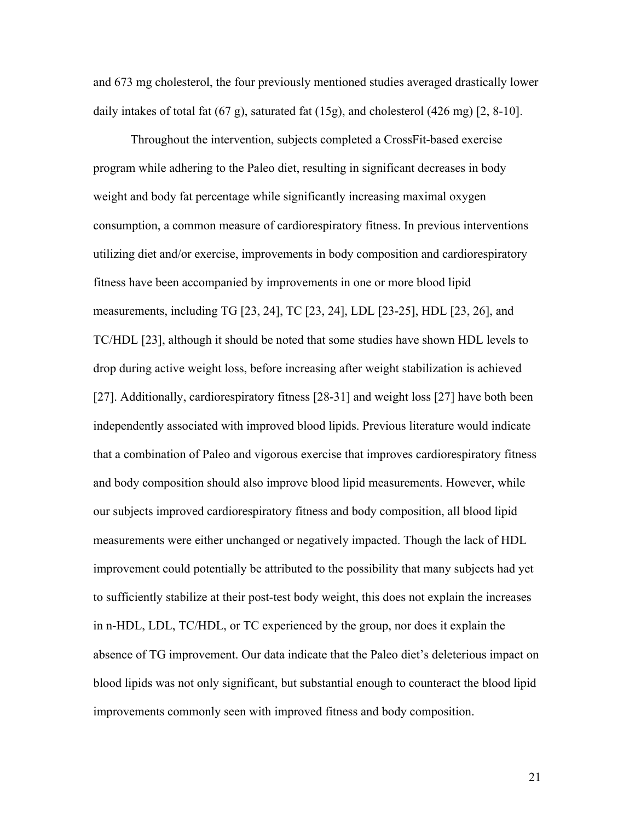and 673 mg cholesterol, the four previously mentioned studies averaged drastically lower daily intakes of total fat  $(67 g)$ , saturated fat  $(15g)$ , and cholesterol  $(426 mg)$  [2, 8-10].

Throughout the intervention, subjects completed a CrossFit-based exercise program while adhering to the Paleo diet, resulting in significant decreases in body weight and body fat percentage while significantly increasing maximal oxygen consumption, a common measure of cardiorespiratory fitness. In previous interventions utilizing diet and/or exercise, improvements in body composition and cardiorespiratory fitness have been accompanied by improvements in one or more blood lipid measurements, including TG [23, 24], TC [23, 24], LDL [23-25], HDL [23, 26], and TC/HDL [23], although it should be noted that some studies have shown HDL levels to drop during active weight loss, before increasing after weight stabilization is achieved [27]. Additionally, cardiorespiratory fitness [28-31] and weight loss [27] have both been independently associated with improved blood lipids. Previous literature would indicate that a combination of Paleo and vigorous exercise that improves cardiorespiratory fitness and body composition should also improve blood lipid measurements. However, while our subjects improved cardiorespiratory fitness and body composition, all blood lipid measurements were either unchanged or negatively impacted. Though the lack of HDL improvement could potentially be attributed to the possibility that many subjects had yet to sufficiently stabilize at their post-test body weight, this does not explain the increases in n-HDL, LDL, TC/HDL, or TC experienced by the group, nor does it explain the absence of TG improvement. Our data indicate that the Paleo diet's deleterious impact on blood lipids was not only significant, but substantial enough to counteract the blood lipid improvements commonly seen with improved fitness and body composition.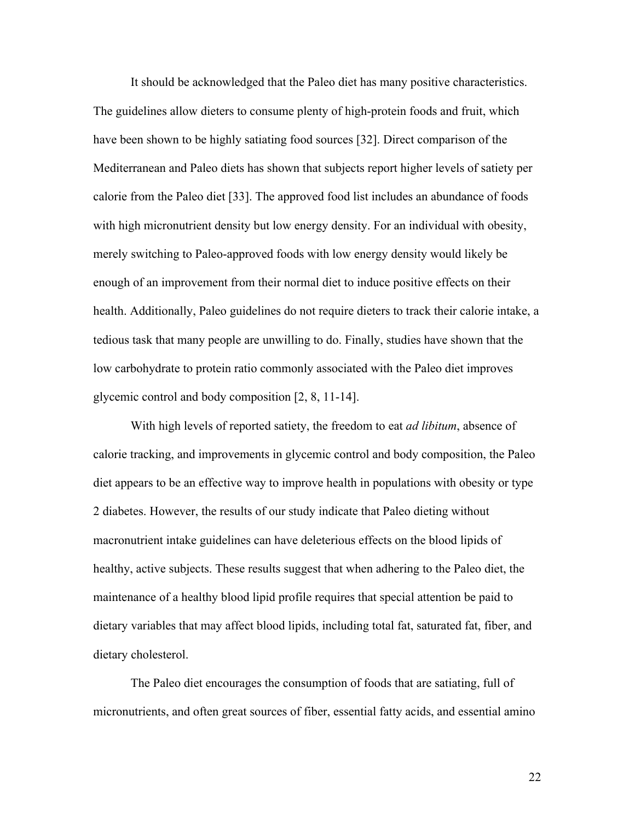It should be acknowledged that the Paleo diet has many positive characteristics. The guidelines allow dieters to consume plenty of high-protein foods and fruit, which have been shown to be highly satiating food sources [32]. Direct comparison of the Mediterranean and Paleo diets has shown that subjects report higher levels of satiety per calorie from the Paleo diet [33]. The approved food list includes an abundance of foods with high micronutrient density but low energy density. For an individual with obesity, merely switching to Paleo-approved foods with low energy density would likely be enough of an improvement from their normal diet to induce positive effects on their health. Additionally, Paleo guidelines do not require dieters to track their calorie intake, a tedious task that many people are unwilling to do. Finally, studies have shown that the low carbohydrate to protein ratio commonly associated with the Paleo diet improves glycemic control and body composition [2, 8, 11-14].

With high levels of reported satiety, the freedom to eat *ad libitum*, absence of calorie tracking, and improvements in glycemic control and body composition, the Paleo diet appears to be an effective way to improve health in populations with obesity or type 2 diabetes. However, the results of our study indicate that Paleo dieting without macronutrient intake guidelines can have deleterious effects on the blood lipids of healthy, active subjects. These results suggest that when adhering to the Paleo diet, the maintenance of a healthy blood lipid profile requires that special attention be paid to dietary variables that may affect blood lipids, including total fat, saturated fat, fiber, and dietary cholesterol.

The Paleo diet encourages the consumption of foods that are satiating, full of micronutrients, and often great sources of fiber, essential fatty acids, and essential amino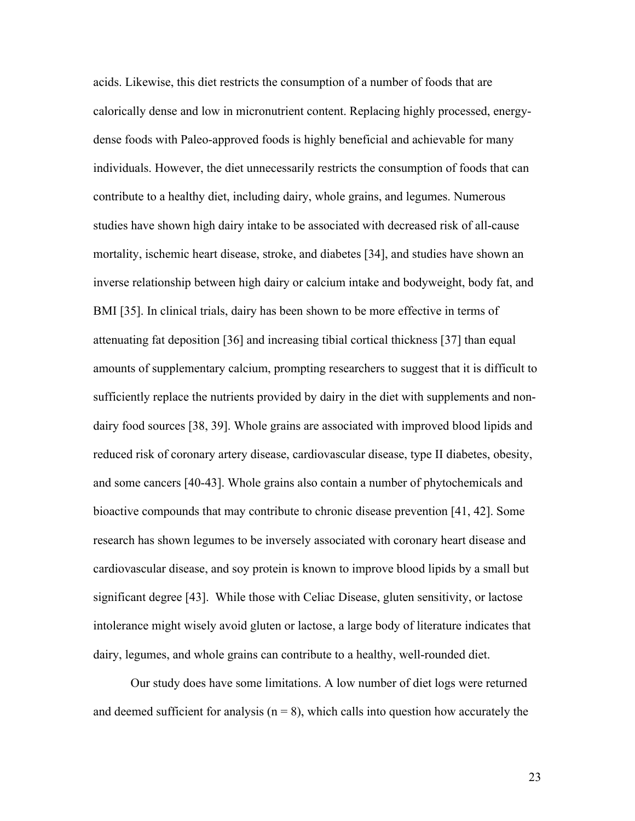acids. Likewise, this diet restricts the consumption of a number of foods that are calorically dense and low in micronutrient content. Replacing highly processed, energydense foods with Paleo-approved foods is highly beneficial and achievable for many individuals. However, the diet unnecessarily restricts the consumption of foods that can contribute to a healthy diet, including dairy, whole grains, and legumes. Numerous studies have shown high dairy intake to be associated with decreased risk of all-cause mortality, ischemic heart disease, stroke, and diabetes [34], and studies have shown an inverse relationship between high dairy or calcium intake and bodyweight, body fat, and BMI [35]. In clinical trials, dairy has been shown to be more effective in terms of attenuating fat deposition [36] and increasing tibial cortical thickness [37] than equal amounts of supplementary calcium, prompting researchers to suggest that it is difficult to sufficiently replace the nutrients provided by dairy in the diet with supplements and nondairy food sources [38, 39]. Whole grains are associated with improved blood lipids and reduced risk of coronary artery disease, cardiovascular disease, type II diabetes, obesity, and some cancers [40-43]. Whole grains also contain a number of phytochemicals and bioactive compounds that may contribute to chronic disease prevention [41, 42]. Some research has shown legumes to be inversely associated with coronary heart disease and cardiovascular disease, and soy protein is known to improve blood lipids by a small but significant degree [43]. While those with Celiac Disease, gluten sensitivity, or lactose intolerance might wisely avoid gluten or lactose, a large body of literature indicates that dairy, legumes, and whole grains can contribute to a healthy, well-rounded diet.

Our study does have some limitations. A low number of diet logs were returned and deemed sufficient for analysis ( $n = 8$ ), which calls into question how accurately the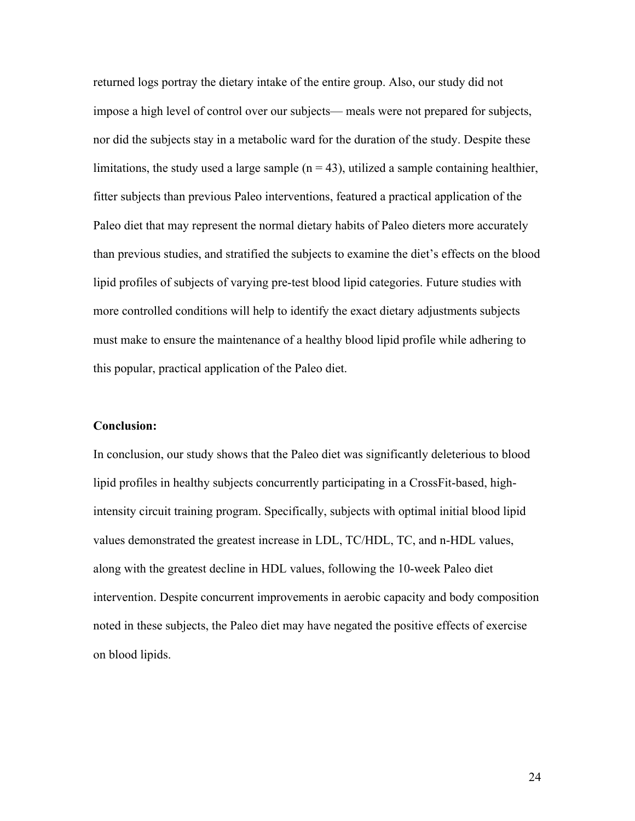returned logs portray the dietary intake of the entire group. Also, our study did not impose a high level of control over our subjects— meals were not prepared for subjects, nor did the subjects stay in a metabolic ward for the duration of the study. Despite these limitations, the study used a large sample  $(n = 43)$ , utilized a sample containing healthier, fitter subjects than previous Paleo interventions, featured a practical application of the Paleo diet that may represent the normal dietary habits of Paleo dieters more accurately than previous studies, and stratified the subjects to examine the diet's effects on the blood lipid profiles of subjects of varying pre-test blood lipid categories. Future studies with more controlled conditions will help to identify the exact dietary adjustments subjects must make to ensure the maintenance of a healthy blood lipid profile while adhering to this popular, practical application of the Paleo diet.

#### **Conclusion:**

In conclusion, our study shows that the Paleo diet was significantly deleterious to blood lipid profiles in healthy subjects concurrently participating in a CrossFit-based, highintensity circuit training program. Specifically, subjects with optimal initial blood lipid values demonstrated the greatest increase in LDL, TC/HDL, TC, and n-HDL values, along with the greatest decline in HDL values, following the 10-week Paleo diet intervention. Despite concurrent improvements in aerobic capacity and body composition noted in these subjects, the Paleo diet may have negated the positive effects of exercise on blood lipids.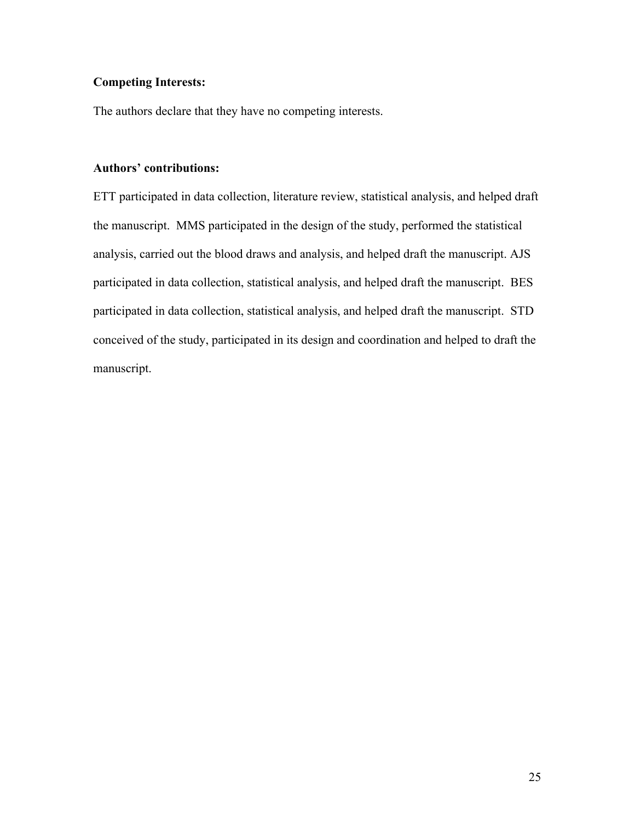# **Competing Interests:**

The authors declare that they have no competing interests.

# **Authors' contributions:**

ETT participated in data collection, literature review, statistical analysis, and helped draft the manuscript. MMS participated in the design of the study, performed the statistical analysis, carried out the blood draws and analysis, and helped draft the manuscript. AJS participated in data collection, statistical analysis, and helped draft the manuscript. BES participated in data collection, statistical analysis, and helped draft the manuscript. STD conceived of the study, participated in its design and coordination and helped to draft the manuscript.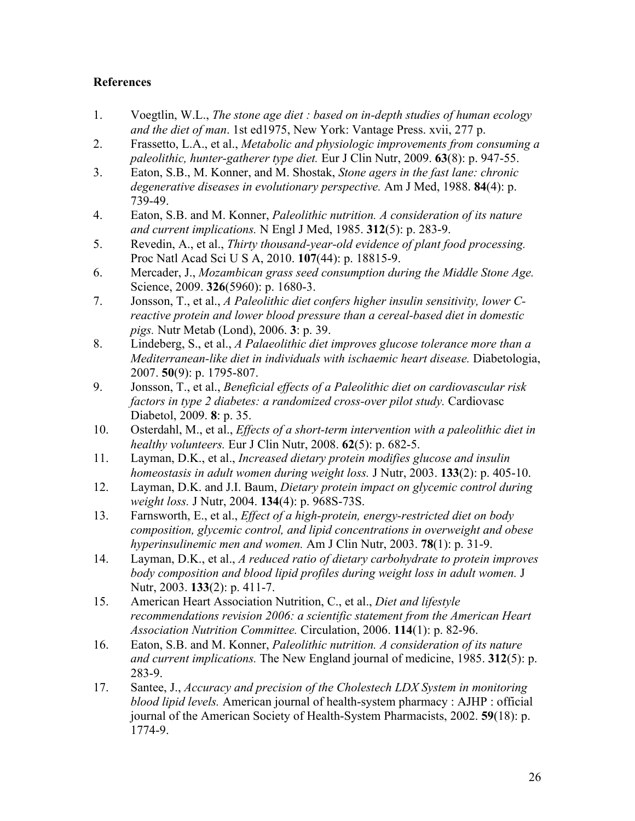# **References**

- 1. Voegtlin, W.L., *The stone age diet : based on in-depth studies of human ecology and the diet of man*. 1st ed1975, New York: Vantage Press. xvii, 277 p.
- 2. Frassetto, L.A., et al., *Metabolic and physiologic improvements from consuming a paleolithic, hunter-gatherer type diet.* Eur J Clin Nutr, 2009. **63**(8): p. 947-55.
- 3. Eaton, S.B., M. Konner, and M. Shostak, *Stone agers in the fast lane: chronic degenerative diseases in evolutionary perspective.* Am J Med, 1988. **84**(4): p. 739-49.
- 4. Eaton, S.B. and M. Konner, *Paleolithic nutrition. A consideration of its nature and current implications.* N Engl J Med, 1985. **312**(5): p. 283-9.
- 5. Revedin, A., et al., *Thirty thousand-year-old evidence of plant food processing.* Proc Natl Acad Sci U S A, 2010. **107**(44): p. 18815-9.
- 6. Mercader, J., *Mozambican grass seed consumption during the Middle Stone Age.* Science, 2009. **326**(5960): p. 1680-3.
- 7. Jonsson, T., et al., *A Paleolithic diet confers higher insulin sensitivity, lower Creactive protein and lower blood pressure than a cereal-based diet in domestic pigs.* Nutr Metab (Lond), 2006. **3**: p. 39.
- 8. Lindeberg, S., et al., *A Palaeolithic diet improves glucose tolerance more than a Mediterranean-like diet in individuals with ischaemic heart disease.* Diabetologia, 2007. **50**(9): p. 1795-807.
- 9. Jonsson, T., et al., *Beneficial effects of a Paleolithic diet on cardiovascular risk factors in type 2 diabetes: a randomized cross-over pilot study.* Cardiovasc Diabetol, 2009. **8**: p. 35.
- 10. Osterdahl, M., et al., *Effects of a short-term intervention with a paleolithic diet in healthy volunteers.* Eur J Clin Nutr, 2008. **62**(5): p. 682-5.
- 11. Layman, D.K., et al., *Increased dietary protein modifies glucose and insulin homeostasis in adult women during weight loss.* J Nutr, 2003. **133**(2): p. 405-10.
- 12. Layman, D.K. and J.I. Baum, *Dietary protein impact on glycemic control during weight loss.* J Nutr, 2004. **134**(4): p. 968S-73S.
- 13. Farnsworth, E., et al., *Effect of a high-protein, energy-restricted diet on body composition, glycemic control, and lipid concentrations in overweight and obese hyperinsulinemic men and women.* Am J Clin Nutr, 2003. **78**(1): p. 31-9.
- 14. Layman, D.K., et al., *A reduced ratio of dietary carbohydrate to protein improves body composition and blood lipid profiles during weight loss in adult women.* J Nutr, 2003. **133**(2): p. 411-7.
- 15. American Heart Association Nutrition, C., et al., *Diet and lifestyle recommendations revision 2006: a scientific statement from the American Heart Association Nutrition Committee.* Circulation, 2006. **114**(1): p. 82-96.
- 16. Eaton, S.B. and M. Konner, *Paleolithic nutrition. A consideration of its nature and current implications.* The New England journal of medicine, 1985. **312**(5): p. 283-9.
- 17. Santee, J., *Accuracy and precision of the Cholestech LDX System in monitoring blood lipid levels.* American journal of health-system pharmacy : AJHP : official journal of the American Society of Health-System Pharmacists, 2002. **59**(18): p. 1774-9.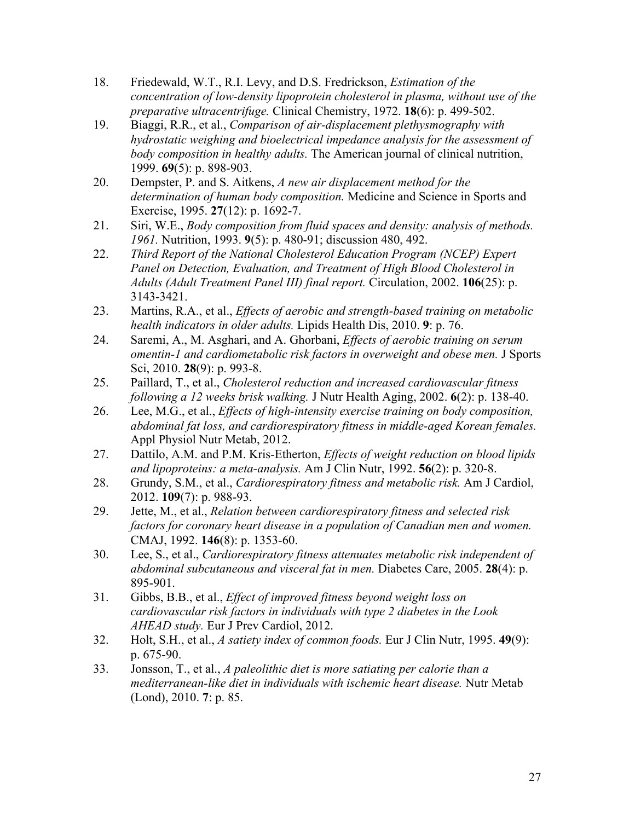- 18. Friedewald, W.T., R.I. Levy, and D.S. Fredrickson, *Estimation of the concentration of low-density lipoprotein cholesterol in plasma, without use of the preparative ultracentrifuge.* Clinical Chemistry, 1972. **18**(6): p. 499-502.
- 19. Biaggi, R.R., et al., *Comparison of air-displacement plethysmography with hydrostatic weighing and bioelectrical impedance analysis for the assessment of body composition in healthy adults.* The American journal of clinical nutrition, 1999. **69**(5): p. 898-903.
- 20. Dempster, P. and S. Aitkens, *A new air displacement method for the determination of human body composition.* Medicine and Science in Sports and Exercise, 1995. **27**(12): p. 1692-7.
- 21. Siri, W.E., *Body composition from fluid spaces and density: analysis of methods. 1961.* Nutrition, 1993. **9**(5): p. 480-91; discussion 480, 492.
- 22. *Third Report of the National Cholesterol Education Program (NCEP) Expert Panel on Detection, Evaluation, and Treatment of High Blood Cholesterol in Adults (Adult Treatment Panel III) final report.* Circulation, 2002. **106**(25): p. 3143-3421.
- 23. Martins, R.A., et al., *Effects of aerobic and strength-based training on metabolic health indicators in older adults.* Lipids Health Dis, 2010. **9**: p. 76.
- 24. Saremi, A., M. Asghari, and A. Ghorbani, *Effects of aerobic training on serum omentin-1 and cardiometabolic risk factors in overweight and obese men.* J Sports Sci, 2010. **28**(9): p. 993-8.
- 25. Paillard, T., et al., *Cholesterol reduction and increased cardiovascular fitness following a 12 weeks brisk walking.* J Nutr Health Aging, 2002. **6**(2): p. 138-40.
- 26. Lee, M.G., et al., *Effects of high-intensity exercise training on body composition, abdominal fat loss, and cardiorespiratory fitness in middle-aged Korean females.* Appl Physiol Nutr Metab, 2012.
- 27. Dattilo, A.M. and P.M. Kris-Etherton, *Effects of weight reduction on blood lipids and lipoproteins: a meta-analysis.* Am J Clin Nutr, 1992. **56**(2): p. 320-8.
- 28. Grundy, S.M., et al., *Cardiorespiratory fitness and metabolic risk.* Am J Cardiol, 2012. **109**(7): p. 988-93.
- 29. Jette, M., et al., *Relation between cardiorespiratory fitness and selected risk factors for coronary heart disease in a population of Canadian men and women.* CMAJ, 1992. **146**(8): p. 1353-60.
- 30. Lee, S., et al., *Cardiorespiratory fitness attenuates metabolic risk independent of abdominal subcutaneous and visceral fat in men.* Diabetes Care, 2005. **28**(4): p. 895-901.
- 31. Gibbs, B.B., et al., *Effect of improved fitness beyond weight loss on cardiovascular risk factors in individuals with type 2 diabetes in the Look AHEAD study.* Eur J Prev Cardiol, 2012.
- 32. Holt, S.H., et al., *A satiety index of common foods.* Eur J Clin Nutr, 1995. **49**(9): p. 675-90.
- 33. Jonsson, T., et al., *A paleolithic diet is more satiating per calorie than a mediterranean-like diet in individuals with ischemic heart disease.* Nutr Metab (Lond), 2010. **7**: p. 85.